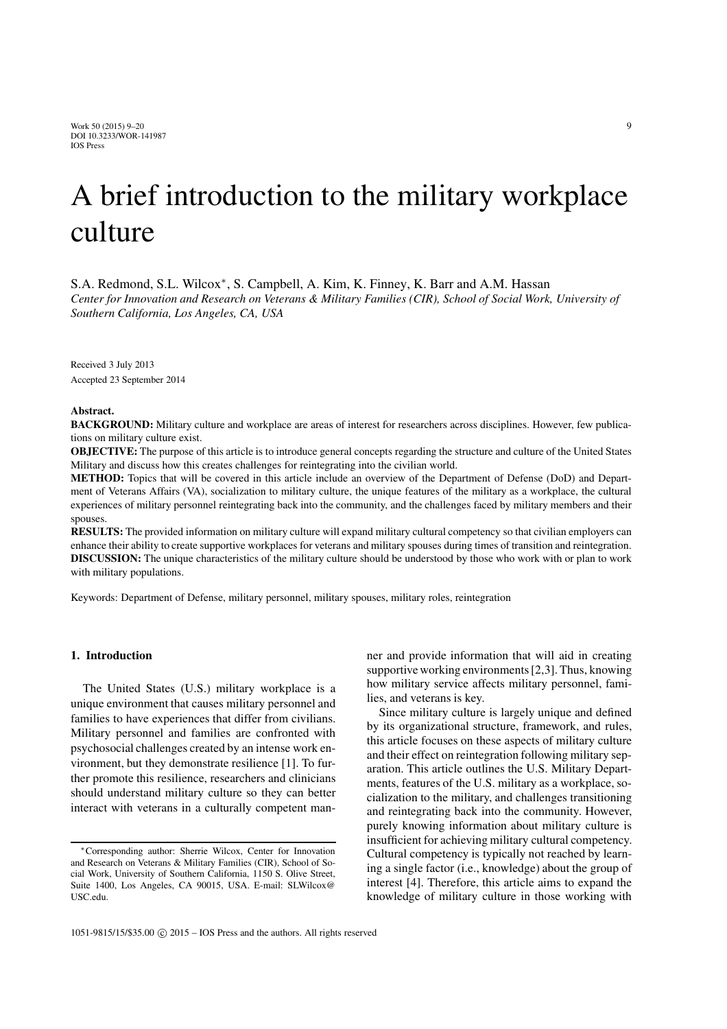Work 50 (2015) 9–20 9 DOI 10.3233/WOR-141987 IOS Press

# A brief introduction to the military workplace culture

S.A. Redmond, S.L. Wilcox<sup>∗</sup>, S. Campbell, A. Kim, K. Finney, K. Barr and A.M. Hassan *Center for Innovation and Research on Veterans & Military Families (CIR), School of Social Work, University of Southern California, Los Angeles, CA, USA*

Received 3 July 2013 Accepted 23 September 2014

#### Abstract.

BACKGROUND: Military culture and workplace are areas of interest for researchers across disciplines. However, few publications on military culture exist.

OBJECTIVE: The purpose of this article is to introduce general concepts regarding the structure and culture of the United States Military and discuss how this creates challenges for reintegrating into the civilian world.

METHOD: Topics that will be covered in this article include an overview of the Department of Defense (DoD) and Department of Veterans Affairs (VA), socialization to military culture, the unique features of the military as a workplace, the cultural experiences of military personnel reintegrating back into the community, and the challenges faced by military members and their spouses.

RESULTS: The provided information on military culture will expand military cultural competency so that civilian employers can enhance their ability to create supportive workplaces for veterans and military spouses during times of transition and reintegration. DISCUSSION: The unique characteristics of the military culture should be understood by those who work with or plan to work with military populations.

Keywords: Department of Defense, military personnel, military spouses, military roles, reintegration

## 1. Introduction

The United States (U.S.) military workplace is a unique environment that causes military personnel and families to have experiences that differ from civilians. Military personnel and families are confronted with psychosocial challenges created by an intense work environment, but they demonstrate resilience [1]. To further promote this resilience, researchers and clinicians should understand military culture so they can better interact with veterans in a culturally competent manner and provide information that will aid in creating supportive working environments [2,3]. Thus, knowing how military service affects military personnel, families, and veterans is key.

Since military culture is largely unique and defined by its organizational structure, framework, and rules, this article focuses on these aspects of military culture and their effect on reintegration following military separation. This article outlines the U.S. Military Departments, features of the U.S. military as a workplace, socialization to the military, and challenges transitioning and reintegrating back into the community. However, purely knowing information about military culture is insufficient for achieving military cultural competency. Cultural competency is typically not reached by learning a single factor (i.e., knowledge) about the group of interest [4]. Therefore, this article aims to expand the knowledge of military culture in those working with

<sup>∗</sup>Corresponding author: Sherrie Wilcox, Center for Innovation and Research on Veterans & Military Families (CIR), School of Social Work, University of Southern California, 1150 S. Olive Street, Suite 1400, Los Angeles, CA 90015, USA. E-mail: SLWilcox@ USC.edu.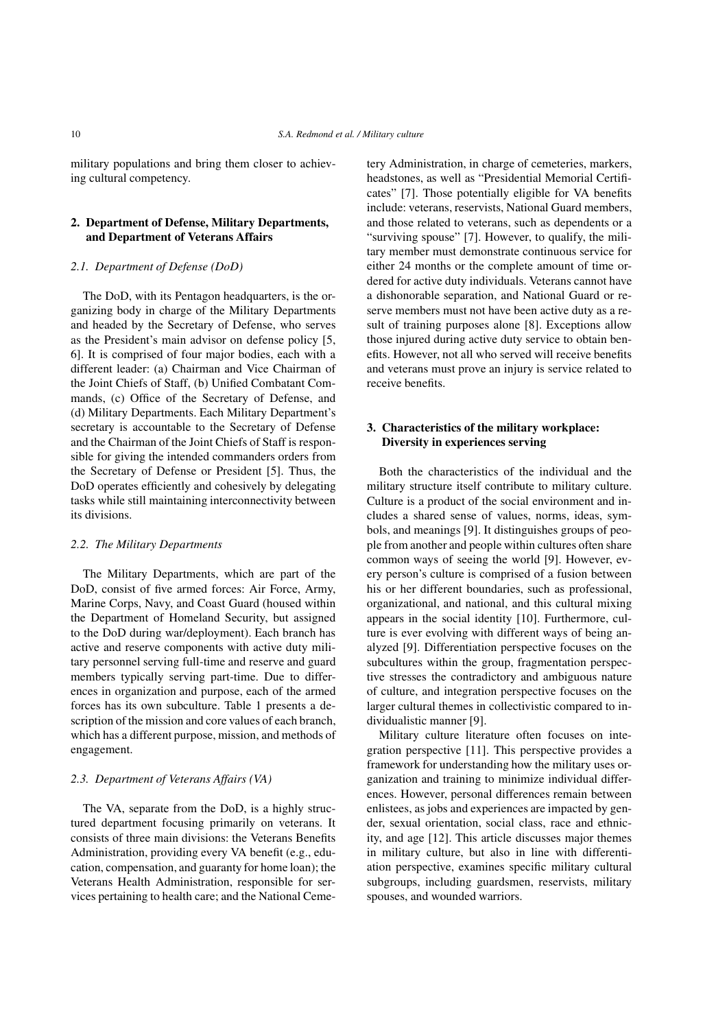military populations and bring them closer to achieving cultural competency.

# 2. Department of Defense, Military Departments, and Department of Veterans Affairs

## *2.1. Department of Defense (DoD)*

The DoD, with its Pentagon headquarters, is the organizing body in charge of the Military Departments and headed by the Secretary of Defense, who serves as the President's main advisor on defense policy [5, 6]. It is comprised of four major bodies, each with a different leader: (a) Chairman and Vice Chairman of the Joint Chiefs of Staff, (b) Unified Combatant Commands, (c) Office of the Secretary of Defense, and (d) Military Departments. Each Military Department's secretary is accountable to the Secretary of Defense and the Chairman of the Joint Chiefs of Staff is responsible for giving the intended commanders orders from the Secretary of Defense or President [5]. Thus, the DoD operates efficiently and cohesively by delegating tasks while still maintaining interconnectivity between its divisions.

#### *2.2. The Military Departments*

The Military Departments, which are part of the DoD, consist of five armed forces: Air Force, Army, Marine Corps, Navy, and Coast Guard (housed within the Department of Homeland Security, but assigned to the DoD during war/deployment). Each branch has active and reserve components with active duty military personnel serving full-time and reserve and guard members typically serving part-time. Due to differences in organization and purpose, each of the armed forces has its own subculture. Table 1 presents a description of the mission and core values of each branch, which has a different purpose, mission, and methods of engagement.

#### *2.3. Department of Veterans Affairs (VA)*

The VA, separate from the DoD, is a highly structured department focusing primarily on veterans. It consists of three main divisions: the Veterans Benefits Administration, providing every VA benefit (e.g., education, compensation, and guaranty for home loan); the Veterans Health Administration, responsible for services pertaining to health care; and the National Cemetery Administration, in charge of cemeteries, markers, headstones, as well as "Presidential Memorial Certificates" [7]. Those potentially eligible for VA benefits include: veterans, reservists, National Guard members, and those related to veterans, such as dependents or a "surviving spouse" [7]. However, to qualify, the military member must demonstrate continuous service for either 24 months or the complete amount of time ordered for active duty individuals. Veterans cannot have a dishonorable separation, and National Guard or reserve members must not have been active duty as a result of training purposes alone [8]. Exceptions allow those injured during active duty service to obtain benefits. However, not all who served will receive benefits and veterans must prove an injury is service related to receive benefits.

# 3. Characteristics of the military workplace: Diversity in experiences serving

Both the characteristics of the individual and the military structure itself contribute to military culture. Culture is a product of the social environment and includes a shared sense of values, norms, ideas, symbols, and meanings [9]. It distinguishes groups of people from another and people within cultures often share common ways of seeing the world [9]. However, every person's culture is comprised of a fusion between his or her different boundaries, such as professional, organizational, and national, and this cultural mixing appears in the social identity [10]. Furthermore, culture is ever evolving with different ways of being analyzed [9]. Differentiation perspective focuses on the subcultures within the group, fragmentation perspective stresses the contradictory and ambiguous nature of culture, and integration perspective focuses on the larger cultural themes in collectivistic compared to individualistic manner [9].

Military culture literature often focuses on integration perspective [11]. This perspective provides a framework for understanding how the military uses organization and training to minimize individual differences. However, personal differences remain between enlistees, as jobs and experiences are impacted by gender, sexual orientation, social class, race and ethnicity, and age [12]. This article discusses major themes in military culture, but also in line with differentiation perspective, examines specific military cultural subgroups, including guardsmen, reservists, military spouses, and wounded warriors.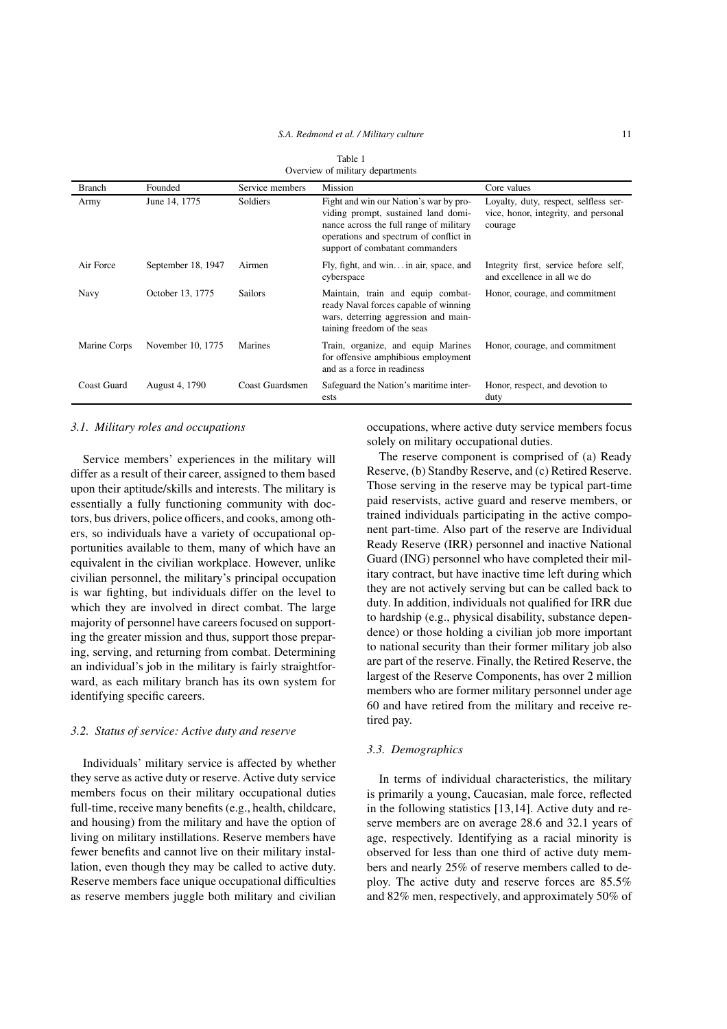#### *S.A. Redmond et al. / Military culture* 11

| Overview of military departments |                    |                 |                                                                                                                                                                                                       |                                                                                          |  |  |  |  |
|----------------------------------|--------------------|-----------------|-------------------------------------------------------------------------------------------------------------------------------------------------------------------------------------------------------|------------------------------------------------------------------------------------------|--|--|--|--|
| <b>Branch</b>                    | Founded            | Service members | Mission                                                                                                                                                                                               | Core values                                                                              |  |  |  |  |
| Army                             | June 14, 1775      | Soldiers        | Fight and win our Nation's war by pro-<br>viding prompt, sustained land domi-<br>nance across the full range of military<br>operations and spectrum of conflict in<br>support of combatant commanders | Loyalty, duty, respect, selfless ser-<br>vice, honor, integrity, and personal<br>courage |  |  |  |  |
| Air Force                        | September 18, 1947 | Airmen          | Fly, fight, and win in air, space, and<br>cyberspace                                                                                                                                                  | Integrity first, service before self,<br>and excellence in all we do                     |  |  |  |  |
| <b>Navy</b>                      | October 13, 1775   | <b>Sailors</b>  | Maintain, train and equip combat-<br>ready Naval forces capable of winning<br>wars, deterring aggression and main-<br>taining freedom of the seas                                                     | Honor, courage, and commitment                                                           |  |  |  |  |
| Marine Corps                     | November 10, 1775  | Marines         | Train, organize, and equip Marines<br>for offensive amphibious employment<br>and as a force in readiness                                                                                              | Honor, courage, and commitment                                                           |  |  |  |  |
| <b>Coast Guard</b>               | August 4, 1790     | Coast Guardsmen | Safeguard the Nation's maritime inter-<br>ests                                                                                                                                                        | Honor, respect, and devotion to<br>duty                                                  |  |  |  |  |

| Table 1                          |
|----------------------------------|
| Overview of military departments |

#### *3.1. Military roles and occupations*

Service members' experiences in the military will differ as a result of their career, assigned to them based upon their aptitude/skills and interests. The military is essentially a fully functioning community with doctors, bus drivers, police officers, and cooks, among others, so individuals have a variety of occupational opportunities available to them, many of which have an equivalent in the civilian workplace. However, unlike civilian personnel, the military's principal occupation is war fighting, but individuals differ on the level to which they are involved in direct combat. The large majority of personnel have careers focused on supporting the greater mission and thus, support those preparing, serving, and returning from combat. Determining an individual's job in the military is fairly straightforward, as each military branch has its own system for identifying specific careers.

## *3.2. Status of service: Active duty and reserve*

Individuals' military service is affected by whether they serve as active duty or reserve. Active duty service members focus on their military occupational duties full-time, receive many benefits (e.g., health, childcare, and housing) from the military and have the option of living on military instillations. Reserve members have fewer benefits and cannot live on their military installation, even though they may be called to active duty. Reserve members face unique occupational difficulties as reserve members juggle both military and civilian occupations, where active duty service members focus solely on military occupational duties.

The reserve component is comprised of (a) Ready Reserve, (b) Standby Reserve, and (c) Retired Reserve. Those serving in the reserve may be typical part-time paid reservists, active guard and reserve members, or trained individuals participating in the active component part-time. Also part of the reserve are Individual Ready Reserve (IRR) personnel and inactive National Guard (ING) personnel who have completed their military contract, but have inactive time left during which they are not actively serving but can be called back to duty. In addition, individuals not qualified for IRR due to hardship (e.g., physical disability, substance dependence) or those holding a civilian job more important to national security than their former military job also are part of the reserve. Finally, the Retired Reserve, the largest of the Reserve Components, has over 2 million members who are former military personnel under age 60 and have retired from the military and receive retired pay.

#### *3.3. Demographics*

In terms of individual characteristics, the military is primarily a young, Caucasian, male force, reflected in the following statistics [13,14]. Active duty and reserve members are on average 28.6 and 32.1 years of age, respectively. Identifying as a racial minority is observed for less than one third of active duty members and nearly 25% of reserve members called to deploy. The active duty and reserve forces are 85.5% and 82% men, respectively, and approximately 50% of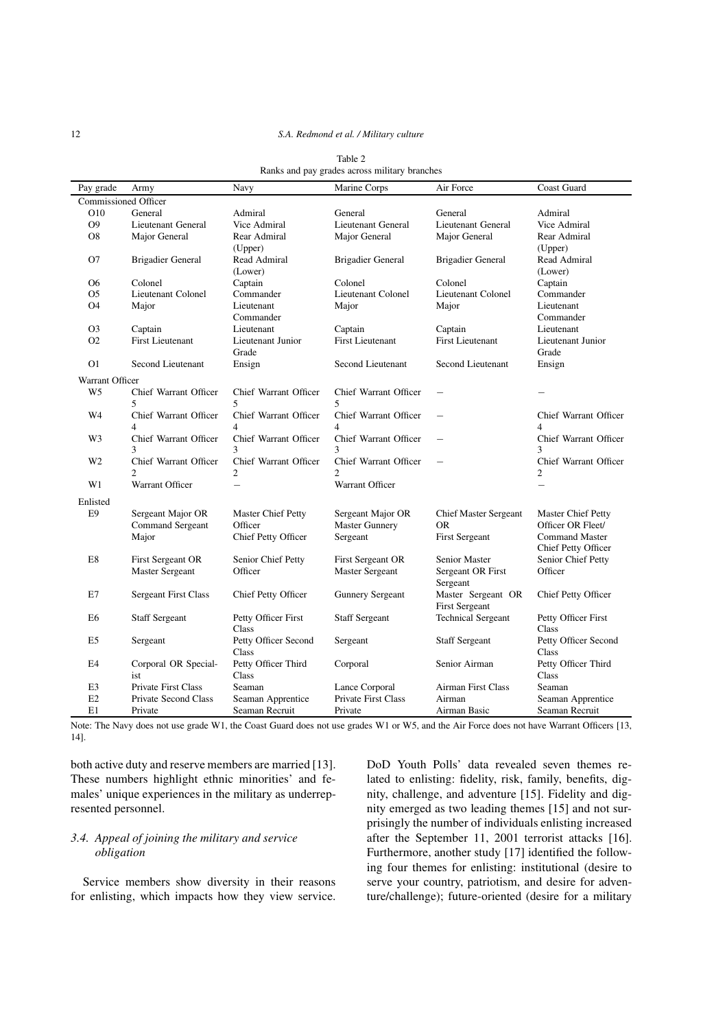#### 12 *S.A. Redmond et al. / Military culture*

| Pay grade            | Army                        | Navy                      | Marine Corps                          | Air Force                    | Coast Guard               |  |  |
|----------------------|-----------------------------|---------------------------|---------------------------------------|------------------------------|---------------------------|--|--|
| Commissioned Officer |                             |                           |                                       |                              |                           |  |  |
| O10                  | General                     | Admiral                   | General                               | General                      | Admiral                   |  |  |
| O <sub>9</sub>       | Lieutenant General          | Vice Admiral              | Lieutenant General                    | Lieutenant General           | Vice Admiral              |  |  |
| O <sub>8</sub>       | Major General               | Rear Admiral              | Major General                         | Major General                | Rear Admiral              |  |  |
|                      |                             | (Upper)                   |                                       |                              | (Upper)                   |  |  |
| O7                   | <b>Brigadier General</b>    | Read Admiral              | <b>Brigadier General</b>              | Brigadier General            | Read Admiral              |  |  |
|                      |                             | (Lower)                   |                                       |                              | (Lower)                   |  |  |
| O <sub>6</sub>       | Colonel                     | Captain                   | Colonel                               | Colonel                      | Captain                   |  |  |
| O <sub>5</sub>       | <b>Lieutenant Colonel</b>   | Commander                 | Lieutenant Colonel                    | Lieutenant Colonel           | Commander                 |  |  |
| O <sub>4</sub>       | Major                       | Lieutenant<br>Commander   | Major                                 | Major                        | Lieutenant<br>Commander   |  |  |
| O <sub>3</sub>       | Captain                     | Lieutenant                | Captain                               | Captain                      | Lieutenant                |  |  |
| O <sub>2</sub>       | <b>First Lieutenant</b>     | Lieutenant Junior         | <b>First Lieutenant</b>               | <b>First Lieutenant</b>      | Lieutenant Junior         |  |  |
|                      |                             | Grade                     |                                       |                              | Grade                     |  |  |
| O <sub>1</sub>       | Second Lieutenant           | Ensign                    | Second Lieutenant                     | Second Lieutenant            | Ensign                    |  |  |
| Warrant Officer      |                             |                           |                                       |                              |                           |  |  |
| W5                   | Chief Warrant Officer       | Chief Warrant Officer     | Chief Warrant Officer                 |                              |                           |  |  |
|                      | 5                           | 5.                        | 5                                     |                              |                           |  |  |
| W4                   | Chief Warrant Officer       | Chief Warrant Officer     | Chief Warrant Officer                 |                              | Chief Warrant Officer     |  |  |
|                      | 4                           | 4                         | 4                                     |                              | 4                         |  |  |
| W3                   | Chief Warrant Officer       | Chief Warrant Officer     | Chief Warrant Officer                 | $\qquad \qquad -$            | Chief Warrant Officer     |  |  |
|                      | 3                           | 3                         | 3                                     |                              | 3                         |  |  |
| W <sub>2</sub>       | Chief Warrant Officer       | Chief Warrant Officer     | Chief Warrant Officer                 |                              | Chief Warrant Officer     |  |  |
|                      | 2                           | 2                         | 2                                     |                              | 2                         |  |  |
| W1                   | Warrant Officer             | $\overline{\phantom{0}}$  | Warrant Officer                       |                              |                           |  |  |
| Enlisted             |                             |                           |                                       |                              |                           |  |  |
| E <sub>9</sub>       | Sergeant Major OR           | <b>Master Chief Petty</b> | Sergeant Major OR                     | <b>Chief Master Sergeant</b> | <b>Master Chief Petty</b> |  |  |
|                      | Command Sergeant            | Officer                   | <b>Master Gunnery</b>                 | <b>OR</b>                    | Officer OR Fleet/         |  |  |
|                      | Major                       | Chief Petty Officer       | Sergeant                              | <b>First Sergeant</b>        | <b>Command Master</b>     |  |  |
|                      |                             |                           |                                       |                              | Chief Petty Officer       |  |  |
| E8                   | First Sergeant OR           | Senior Chief Petty        | First Sergeant OR                     | Senior Master                | Senior Chief Petty        |  |  |
|                      | <b>Master Sergeant</b>      | Officer                   | Master Sergeant                       | Sergeant OR First            | Officer                   |  |  |
|                      |                             |                           |                                       | Sergeant                     |                           |  |  |
| E7                   | <b>Sergeant First Class</b> | Chief Petty Officer       | <b>Gunnery Sergeant</b>               | Master Sergeant OR           | Chief Petty Officer       |  |  |
|                      |                             |                           |                                       | <b>First Sergeant</b>        |                           |  |  |
| E6                   | <b>Staff Sergeant</b>       | Petty Officer First       | <b>Staff Sergeant</b>                 | <b>Technical Sergeant</b>    | Petty Officer First       |  |  |
|                      |                             | Class                     |                                       |                              | Class                     |  |  |
| E5                   | Sergeant                    | Petty Officer Second      | Sergeant                              | <b>Staff Sergeant</b>        | Petty Officer Second      |  |  |
|                      |                             | Class                     |                                       |                              | Class                     |  |  |
| E4                   | Corporal OR Special-        | Petty Officer Third       | Corporal                              | Senior Airman                | Petty Officer Third       |  |  |
|                      | ist                         | Class                     |                                       |                              | Class                     |  |  |
| E <sub>3</sub><br>E2 | <b>Private First Class</b>  | Seaman                    | Lance Corporal<br>Private First Class | <b>Airman First Class</b>    | Seaman                    |  |  |
|                      | Private Second Class        | Seaman Apprentice         |                                       | Airman                       | Seaman Apprentice         |  |  |
| E1                   | Private                     | Seaman Recruit            | Private                               | Airman Basic                 | Seaman Recruit            |  |  |

Table 2 Ranks and pay grades across military branches

Note: The Navy does not use grade W1, the Coast Guard does not use grades W1 or W5, and the Air Force does not have Warrant Officers [13, 14].

both active duty and reserve members are married [13]. These numbers highlight ethnic minorities' and females' unique experiences in the military as underrepresented personnel.

# *3.4. Appeal of joining the military and service obligation*

Service members show diversity in their reasons for enlisting, which impacts how they view service. DoD Youth Polls' data revealed seven themes related to enlisting: fidelity, risk, family, benefits, dignity, challenge, and adventure [15]. Fidelity and dignity emerged as two leading themes [15] and not surprisingly the number of individuals enlisting increased after the September 11, 2001 terrorist attacks [16]. Furthermore, another study [17] identified the following four themes for enlisting: institutional (desire to serve your country, patriotism, and desire for adventure/challenge); future-oriented (desire for a military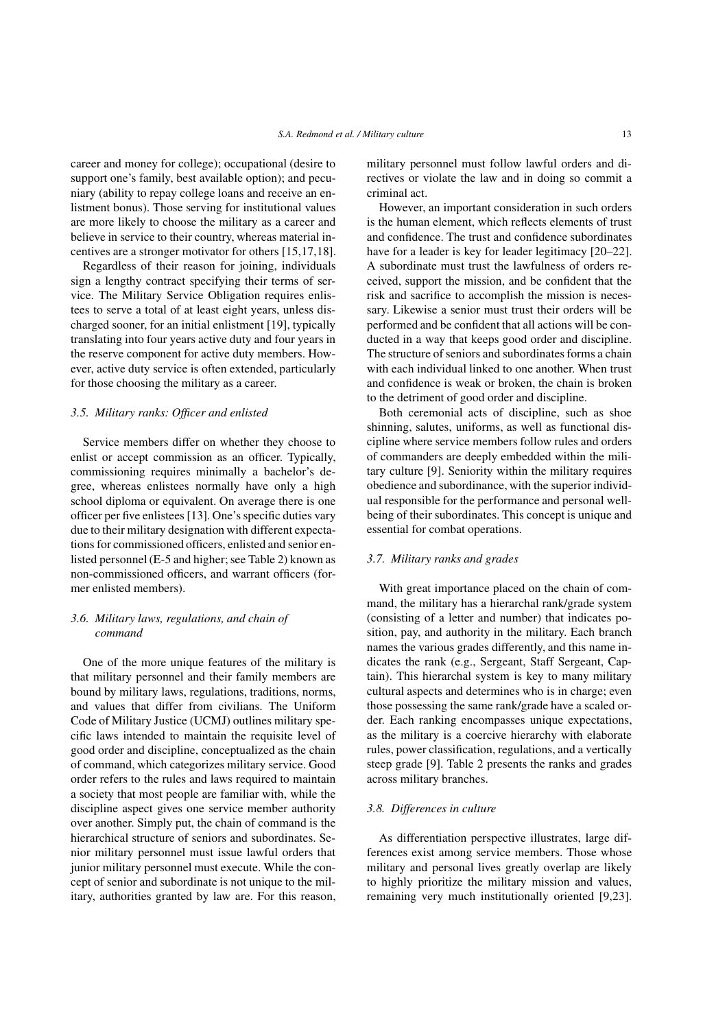career and money for college); occupational (desire to support one's family, best available option); and pecuniary (ability to repay college loans and receive an enlistment bonus). Those serving for institutional values are more likely to choose the military as a career and believe in service to their country, whereas material incentives are a stronger motivator for others [15,17,18].

Regardless of their reason for joining, individuals sign a lengthy contract specifying their terms of service. The Military Service Obligation requires enlistees to serve a total of at least eight years, unless discharged sooner, for an initial enlistment [19], typically translating into four years active duty and four years in the reserve component for active duty members. However, active duty service is often extended, particularly for those choosing the military as a career.

## *3.5. Military ranks: Officer and enlisted*

Service members differ on whether they choose to enlist or accept commission as an officer. Typically, commissioning requires minimally a bachelor's degree, whereas enlistees normally have only a high school diploma or equivalent. On average there is one officer per five enlistees [13]. One's specific duties vary due to their military designation with different expectations for commissioned officers, enlisted and senior enlisted personnel (E-5 and higher; see Table 2) known as non-commissioned officers, and warrant officers (former enlisted members).

# *3.6. Military laws, regulations, and chain of command*

One of the more unique features of the military is that military personnel and their family members are bound by military laws, regulations, traditions, norms, and values that differ from civilians. The Uniform Code of Military Justice (UCMJ) outlines military specific laws intended to maintain the requisite level of good order and discipline, conceptualized as the chain of command, which categorizes military service. Good order refers to the rules and laws required to maintain a society that most people are familiar with, while the discipline aspect gives one service member authority over another. Simply put, the chain of command is the hierarchical structure of seniors and subordinates. Senior military personnel must issue lawful orders that junior military personnel must execute. While the concept of senior and subordinate is not unique to the military, authorities granted by law are. For this reason, military personnel must follow lawful orders and directives or violate the law and in doing so commit a criminal act.

However, an important consideration in such orders is the human element, which reflects elements of trust and confidence. The trust and confidence subordinates have for a leader is key for leader legitimacy [20–22]. A subordinate must trust the lawfulness of orders received, support the mission, and be confident that the risk and sacrifice to accomplish the mission is necessary. Likewise a senior must trust their orders will be performed and be confident that all actions will be conducted in a way that keeps good order and discipline. The structure of seniors and subordinates forms a chain with each individual linked to one another. When trust and confidence is weak or broken, the chain is broken to the detriment of good order and discipline.

Both ceremonial acts of discipline, such as shoe shinning, salutes, uniforms, as well as functional discipline where service members follow rules and orders of commanders are deeply embedded within the military culture [9]. Seniority within the military requires obedience and subordinance, with the superior individual responsible for the performance and personal wellbeing of their subordinates. This concept is unique and essential for combat operations.

## *3.7. Military ranks and grades*

With great importance placed on the chain of command, the military has a hierarchal rank/grade system (consisting of a letter and number) that indicates position, pay, and authority in the military. Each branch names the various grades differently, and this name indicates the rank (e.g., Sergeant, Staff Sergeant, Captain). This hierarchal system is key to many military cultural aspects and determines who is in charge; even those possessing the same rank/grade have a scaled order. Each ranking encompasses unique expectations, as the military is a coercive hierarchy with elaborate rules, power classification, regulations, and a vertically steep grade [9]. Table 2 presents the ranks and grades across military branches.

## *3.8. Differences in culture*

As differentiation perspective illustrates, large differences exist among service members. Those whose military and personal lives greatly overlap are likely to highly prioritize the military mission and values, remaining very much institutionally oriented [9,23].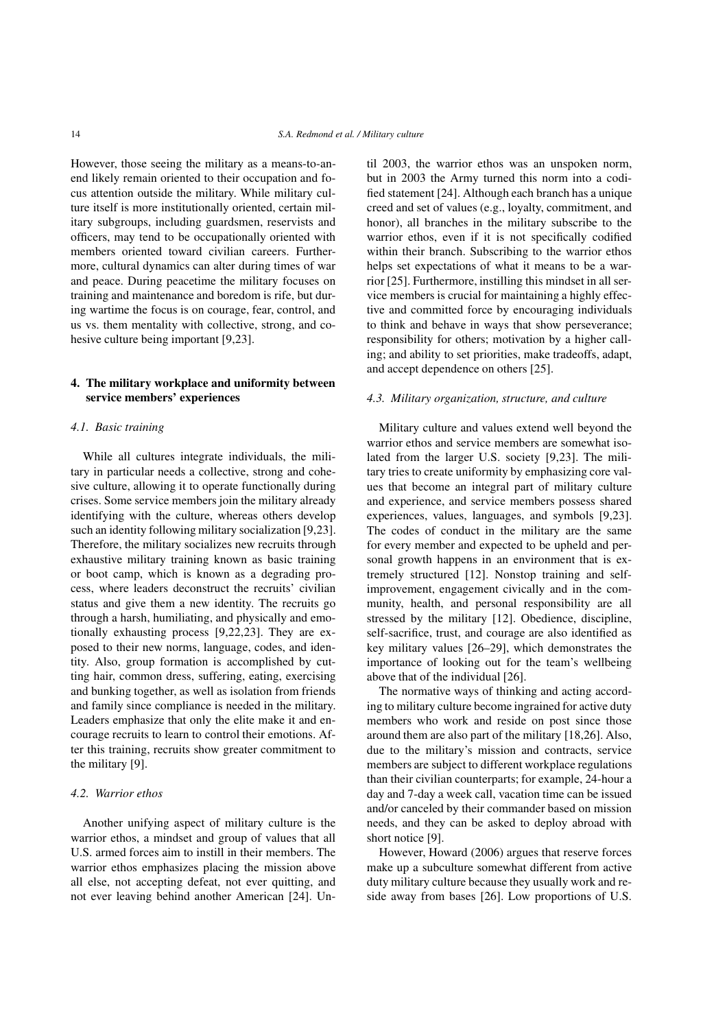However, those seeing the military as a means-to-anend likely remain oriented to their occupation and focus attention outside the military. While military culture itself is more institutionally oriented, certain military subgroups, including guardsmen, reservists and officers, may tend to be occupationally oriented with members oriented toward civilian careers. Furthermore, cultural dynamics can alter during times of war and peace. During peacetime the military focuses on training and maintenance and boredom is rife, but during wartime the focus is on courage, fear, control, and us vs. them mentality with collective, strong, and cohesive culture being important [9,23].

# 4. The military workplace and uniformity between service members' experiences

#### *4.1. Basic training*

While all cultures integrate individuals, the military in particular needs a collective, strong and cohesive culture, allowing it to operate functionally during crises. Some service members join the military already identifying with the culture, whereas others develop such an identity following military socialization [9,23]. Therefore, the military socializes new recruits through exhaustive military training known as basic training or boot camp, which is known as a degrading process, where leaders deconstruct the recruits' civilian status and give them a new identity. The recruits go through a harsh, humiliating, and physically and emotionally exhausting process [9,22,23]. They are exposed to their new norms, language, codes, and identity. Also, group formation is accomplished by cutting hair, common dress, suffering, eating, exercising and bunking together, as well as isolation from friends and family since compliance is needed in the military. Leaders emphasize that only the elite make it and encourage recruits to learn to control their emotions. After this training, recruits show greater commitment to the military [9].

## *4.2. Warrior ethos*

Another unifying aspect of military culture is the warrior ethos, a mindset and group of values that all U.S. armed forces aim to instill in their members. The warrior ethos emphasizes placing the mission above all else, not accepting defeat, not ever quitting, and not ever leaving behind another American [24]. Until 2003, the warrior ethos was an unspoken norm, but in 2003 the Army turned this norm into a codified statement [24]. Although each branch has a unique creed and set of values (e.g., loyalty, commitment, and honor), all branches in the military subscribe to the warrior ethos, even if it is not specifically codified within their branch. Subscribing to the warrior ethos helps set expectations of what it means to be a warrior [25]. Furthermore, instilling this mindset in all service members is crucial for maintaining a highly effective and committed force by encouraging individuals to think and behave in ways that show perseverance; responsibility for others; motivation by a higher calling; and ability to set priorities, make tradeoffs, adapt, and accept dependence on others [25].

#### *4.3. Military organization, structure, and culture*

Military culture and values extend well beyond the warrior ethos and service members are somewhat isolated from the larger U.S. society [9,23]. The military tries to create uniformity by emphasizing core values that become an integral part of military culture and experience, and service members possess shared experiences, values, languages, and symbols [9,23]. The codes of conduct in the military are the same for every member and expected to be upheld and personal growth happens in an environment that is extremely structured [12]. Nonstop training and selfimprovement, engagement civically and in the community, health, and personal responsibility are all stressed by the military [12]. Obedience, discipline, self-sacrifice, trust, and courage are also identified as key military values [26–29], which demonstrates the importance of looking out for the team's wellbeing above that of the individual [26].

The normative ways of thinking and acting according to military culture become ingrained for active duty members who work and reside on post since those around them are also part of the military [18,26]. Also, due to the military's mission and contracts, service members are subject to different workplace regulations than their civilian counterparts; for example, 24-hour a day and 7-day a week call, vacation time can be issued and/or canceled by their commander based on mission needs, and they can be asked to deploy abroad with short notice [9].

However, Howard (2006) argues that reserve forces make up a subculture somewhat different from active duty military culture because they usually work and reside away from bases [26]. Low proportions of U.S.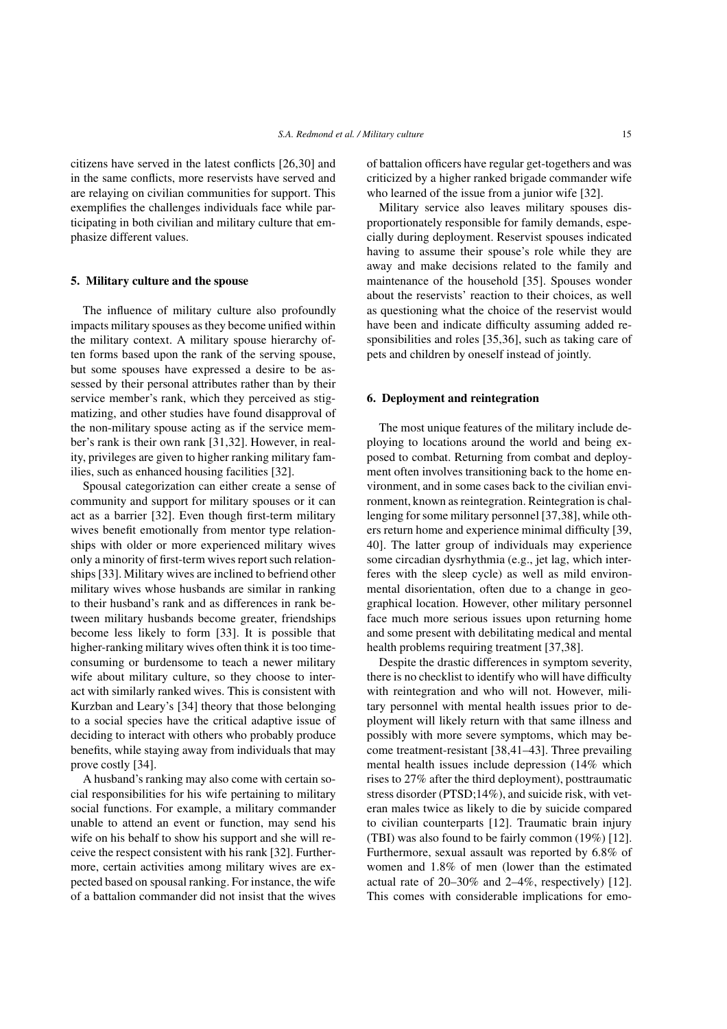citizens have served in the latest conflicts [26,30] and in the same conflicts, more reservists have served and are relaying on civilian communities for support. This exemplifies the challenges individuals face while participating in both civilian and military culture that emphasize different values.

## 5. Military culture and the spouse

The influence of military culture also profoundly impacts military spouses as they become unified within the military context. A military spouse hierarchy often forms based upon the rank of the serving spouse, but some spouses have expressed a desire to be assessed by their personal attributes rather than by their service member's rank, which they perceived as stigmatizing, and other studies have found disapproval of the non-military spouse acting as if the service member's rank is their own rank [31,32]. However, in reality, privileges are given to higher ranking military families, such as enhanced housing facilities [32].

Spousal categorization can either create a sense of community and support for military spouses or it can act as a barrier [32]. Even though first-term military wives benefit emotionally from mentor type relationships with older or more experienced military wives only a minority of first-term wives report such relationships [33]. Military wives are inclined to befriend other military wives whose husbands are similar in ranking to their husband's rank and as differences in rank between military husbands become greater, friendships become less likely to form [33]. It is possible that higher-ranking military wives often think it is too timeconsuming or burdensome to teach a newer military wife about military culture, so they choose to interact with similarly ranked wives. This is consistent with Kurzban and Leary's [34] theory that those belonging to a social species have the critical adaptive issue of deciding to interact with others who probably produce benefits, while staying away from individuals that may prove costly [34].

A husband's ranking may also come with certain social responsibilities for his wife pertaining to military social functions. For example, a military commander unable to attend an event or function, may send his wife on his behalf to show his support and she will receive the respect consistent with his rank [32]. Furthermore, certain activities among military wives are expected based on spousal ranking. For instance, the wife of a battalion commander did not insist that the wives of battalion officers have regular get-togethers and was criticized by a higher ranked brigade commander wife who learned of the issue from a junior wife [32].

Military service also leaves military spouses disproportionately responsible for family demands, especially during deployment. Reservist spouses indicated having to assume their spouse's role while they are away and make decisions related to the family and maintenance of the household [35]. Spouses wonder about the reservists' reaction to their choices, as well as questioning what the choice of the reservist would have been and indicate difficulty assuming added responsibilities and roles [35,36], such as taking care of pets and children by oneself instead of jointly.

## 6. Deployment and reintegration

The most unique features of the military include deploying to locations around the world and being exposed to combat. Returning from combat and deployment often involves transitioning back to the home environment, and in some cases back to the civilian environment, known as reintegration. Reintegration is challenging for some military personnel [37,38], while others return home and experience minimal difficulty [39, 40]. The latter group of individuals may experience some circadian dysrhythmia (e.g., jet lag, which interferes with the sleep cycle) as well as mild environmental disorientation, often due to a change in geographical location. However, other military personnel face much more serious issues upon returning home and some present with debilitating medical and mental health problems requiring treatment [37,38].

Despite the drastic differences in symptom severity, there is no checklist to identify who will have difficulty with reintegration and who will not. However, military personnel with mental health issues prior to deployment will likely return with that same illness and possibly with more severe symptoms, which may become treatment-resistant [38,41–43]. Three prevailing mental health issues include depression (14% which rises to 27% after the third deployment), posttraumatic stress disorder (PTSD;14%), and suicide risk, with veteran males twice as likely to die by suicide compared to civilian counterparts [12]. Traumatic brain injury (TBI) was also found to be fairly common (19%) [12]. Furthermore, sexual assault was reported by 6.8% of women and 1.8% of men (lower than the estimated actual rate of 20–30% and 2–4%, respectively) [12]. This comes with considerable implications for emo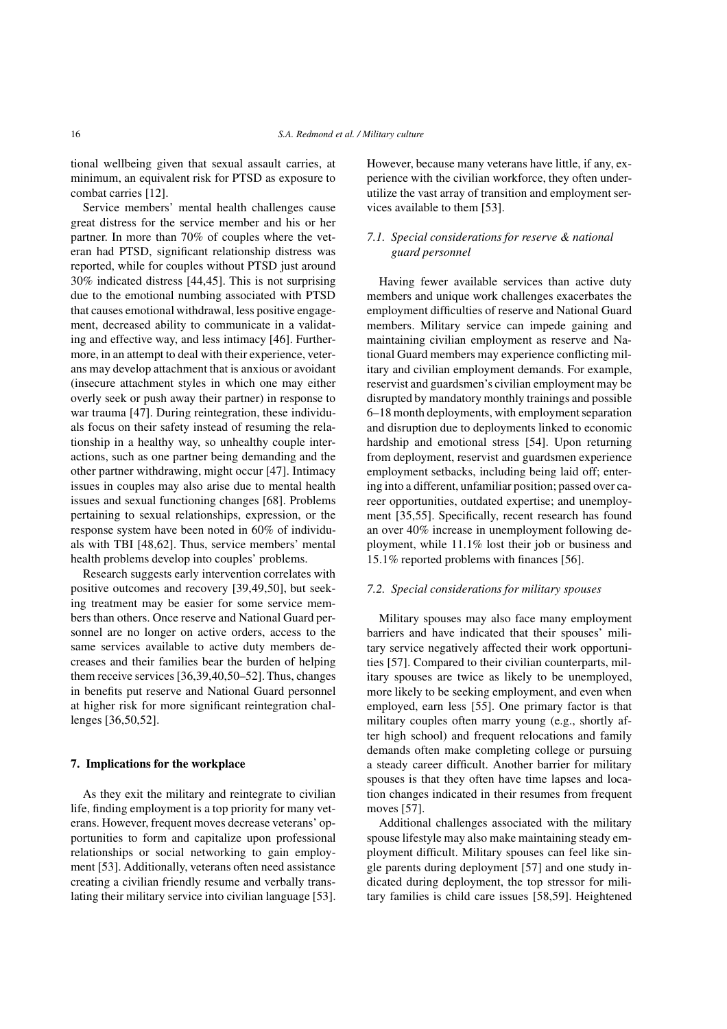tional wellbeing given that sexual assault carries, at minimum, an equivalent risk for PTSD as exposure to combat carries [12].

Service members' mental health challenges cause great distress for the service member and his or her partner. In more than 70% of couples where the veteran had PTSD, significant relationship distress was reported, while for couples without PTSD just around 30% indicated distress [44,45]. This is not surprising due to the emotional numbing associated with PTSD that causes emotional withdrawal, less positive engagement, decreased ability to communicate in a validating and effective way, and less intimacy [46]. Furthermore, in an attempt to deal with their experience, veterans may develop attachment that is anxious or avoidant (insecure attachment styles in which one may either overly seek or push away their partner) in response to war trauma [47]. During reintegration, these individuals focus on their safety instead of resuming the relationship in a healthy way, so unhealthy couple interactions, such as one partner being demanding and the other partner withdrawing, might occur [47]. Intimacy issues in couples may also arise due to mental health issues and sexual functioning changes [68]. Problems pertaining to sexual relationships, expression, or the response system have been noted in 60% of individuals with TBI [48,62]. Thus, service members' mental health problems develop into couples' problems.

Research suggests early intervention correlates with positive outcomes and recovery [39,49,50], but seeking treatment may be easier for some service members than others. Once reserve and National Guard personnel are no longer on active orders, access to the same services available to active duty members decreases and their families bear the burden of helping them receive services [36,39,40,50–52]. Thus, changes in benefits put reserve and National Guard personnel at higher risk for more significant reintegration challenges [36,50,52].

#### 7. Implications for the workplace

As they exit the military and reintegrate to civilian life, finding employment is a top priority for many veterans. However, frequent moves decrease veterans' opportunities to form and capitalize upon professional relationships or social networking to gain employment [53]. Additionally, veterans often need assistance creating a civilian friendly resume and verbally translating their military service into civilian language [53]. However, because many veterans have little, if any, experience with the civilian workforce, they often underutilize the vast array of transition and employment services available to them [53].

# *7.1. Special considerations for reserve & national guard personnel*

Having fewer available services than active duty members and unique work challenges exacerbates the employment difficulties of reserve and National Guard members. Military service can impede gaining and maintaining civilian employment as reserve and National Guard members may experience conflicting military and civilian employment demands. For example, reservist and guardsmen's civilian employment may be disrupted by mandatory monthly trainings and possible 6–18 month deployments, with employment separation and disruption due to deployments linked to economic hardship and emotional stress [54]. Upon returning from deployment, reservist and guardsmen experience employment setbacks, including being laid off; entering into a different, unfamiliar position; passed over career opportunities, outdated expertise; and unemployment [35,55]. Specifically, recent research has found an over 40% increase in unemployment following deployment, while 11.1% lost their job or business and 15.1% reported problems with finances [56].

#### *7.2. Special considerations for military spouses*

Military spouses may also face many employment barriers and have indicated that their spouses' military service negatively affected their work opportunities [57]. Compared to their civilian counterparts, military spouses are twice as likely to be unemployed, more likely to be seeking employment, and even when employed, earn less [55]. One primary factor is that military couples often marry young (e.g., shortly after high school) and frequent relocations and family demands often make completing college or pursuing a steady career difficult. Another barrier for military spouses is that they often have time lapses and location changes indicated in their resumes from frequent moves [57].

Additional challenges associated with the military spouse lifestyle may also make maintaining steady employment difficult. Military spouses can feel like single parents during deployment [57] and one study indicated during deployment, the top stressor for military families is child care issues [58,59]. Heightened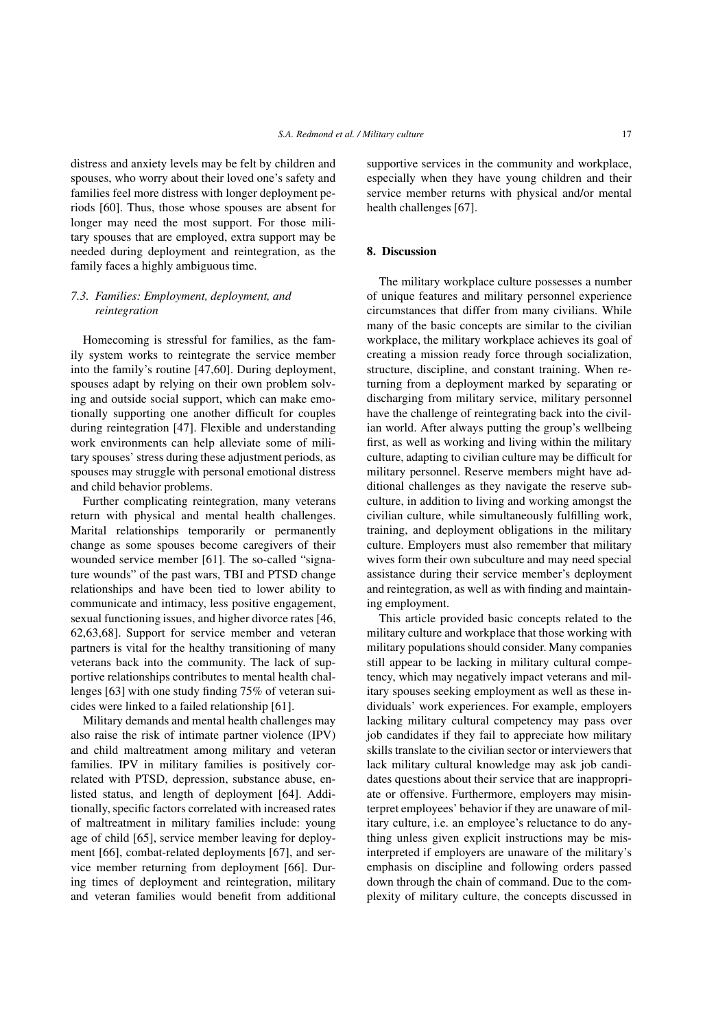distress and anxiety levels may be felt by children and spouses, who worry about their loved one's safety and families feel more distress with longer deployment periods [60]. Thus, those whose spouses are absent for longer may need the most support. For those military spouses that are employed, extra support may be needed during deployment and reintegration, as the family faces a highly ambiguous time.

# *7.3. Families: Employment, deployment, and reintegration*

Homecoming is stressful for families, as the family system works to reintegrate the service member into the family's routine [47,60]. During deployment, spouses adapt by relying on their own problem solving and outside social support, which can make emotionally supporting one another difficult for couples during reintegration [47]. Flexible and understanding work environments can help alleviate some of military spouses' stress during these adjustment periods, as spouses may struggle with personal emotional distress and child behavior problems.

Further complicating reintegration, many veterans return with physical and mental health challenges. Marital relationships temporarily or permanently change as some spouses become caregivers of their wounded service member [61]. The so-called "signature wounds" of the past wars, TBI and PTSD change relationships and have been tied to lower ability to communicate and intimacy, less positive engagement, sexual functioning issues, and higher divorce rates [46, 62,63,68]. Support for service member and veteran partners is vital for the healthy transitioning of many veterans back into the community. The lack of supportive relationships contributes to mental health challenges [63] with one study finding 75% of veteran suicides were linked to a failed relationship [61].

Military demands and mental health challenges may also raise the risk of intimate partner violence (IPV) and child maltreatment among military and veteran families. IPV in military families is positively correlated with PTSD, depression, substance abuse, enlisted status, and length of deployment [64]. Additionally, specific factors correlated with increased rates of maltreatment in military families include: young age of child [65], service member leaving for deployment [66], combat-related deployments [67], and service member returning from deployment [66]. During times of deployment and reintegration, military and veteran families would benefit from additional supportive services in the community and workplace, especially when they have young children and their service member returns with physical and/or mental health challenges [67].

# 8. Discussion

The military workplace culture possesses a number of unique features and military personnel experience circumstances that differ from many civilians. While many of the basic concepts are similar to the civilian workplace, the military workplace achieves its goal of creating a mission ready force through socialization, structure, discipline, and constant training. When returning from a deployment marked by separating or discharging from military service, military personnel have the challenge of reintegrating back into the civilian world. After always putting the group's wellbeing first, as well as working and living within the military culture, adapting to civilian culture may be difficult for military personnel. Reserve members might have additional challenges as they navigate the reserve subculture, in addition to living and working amongst the civilian culture, while simultaneously fulfilling work, training, and deployment obligations in the military culture. Employers must also remember that military wives form their own subculture and may need special assistance during their service member's deployment and reintegration, as well as with finding and maintaining employment.

This article provided basic concepts related to the military culture and workplace that those working with military populations should consider. Many companies still appear to be lacking in military cultural competency, which may negatively impact veterans and military spouses seeking employment as well as these individuals' work experiences. For example, employers lacking military cultural competency may pass over job candidates if they fail to appreciate how military skills translate to the civilian sector or interviewers that lack military cultural knowledge may ask job candidates questions about their service that are inappropriate or offensive. Furthermore, employers may misinterpret employees' behavior if they are unaware of military culture, i.e. an employee's reluctance to do anything unless given explicit instructions may be misinterpreted if employers are unaware of the military's emphasis on discipline and following orders passed down through the chain of command. Due to the complexity of military culture, the concepts discussed in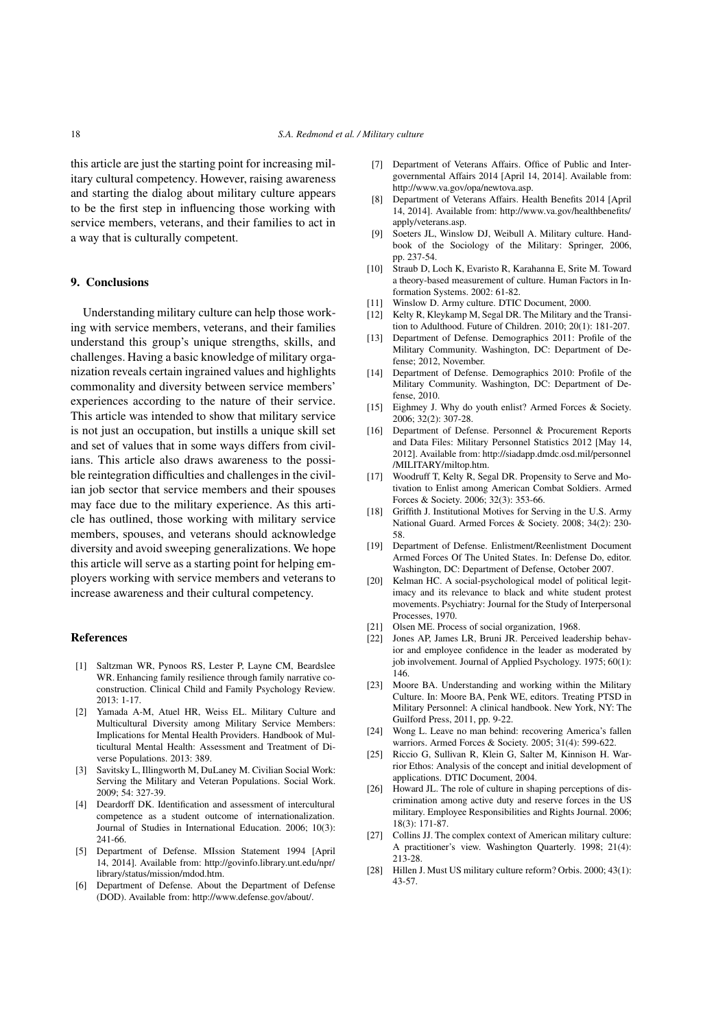this article are just the starting point for increasing military cultural competency. However, raising awareness and starting the dialog about military culture appears to be the first step in influencing those working with service members, veterans, and their families to act in a way that is culturally competent.

## 9. Conclusions

Understanding military culture can help those working with service members, veterans, and their families understand this group's unique strengths, skills, and challenges. Having a basic knowledge of military organization reveals certain ingrained values and highlights commonality and diversity between service members' experiences according to the nature of their service. This article was intended to show that military service is not just an occupation, but instills a unique skill set and set of values that in some ways differs from civilians. This article also draws awareness to the possible reintegration difficulties and challenges in the civilian job sector that service members and their spouses may face due to the military experience. As this article has outlined, those working with military service members, spouses, and veterans should acknowledge diversity and avoid sweeping generalizations. We hope this article will serve as a starting point for helping employers working with service members and veterans to increase awareness and their cultural competency.

## References

- [1] Saltzman WR, Pynoos RS, Lester P, Layne CM, Beardslee WR. Enhancing family resilience through family narrative coconstruction. Clinical Child and Family Psychology Review. 2013: 1-17.
- [2] Yamada A-M, Atuel HR, Weiss EL. Military Culture and Multicultural Diversity among Military Service Members: Implications for Mental Health Providers. Handbook of Multicultural Mental Health: Assessment and Treatment of Diverse Populations. 2013: 389.
- [3] Savitsky L, Illingworth M, DuLaney M. Civilian Social Work: Serving the Military and Veteran Populations. Social Work. 2009; 54: 327-39.
- [4] Deardorff DK. Identification and assessment of intercultural competence as a student outcome of internationalization. Journal of Studies in International Education. 2006; 10(3): 241-66.
- [5] Department of Defense. MIssion Statement 1994 [April 14, 2014]. Available from: http://govinfo.library.unt.edu/npr/ library/status/mission/mdod.htm.
- [6] Department of Defense. About the Department of Defense (DOD). Available from: http://www.defense.gov/about/.
- [7] Department of Veterans Affairs. Office of Public and Intergovernmental Affairs 2014 [April 14, 2014]. Available from: http://www.va.gov/opa/newtova.asp.
- [8] Department of Veterans Affairs. Health Benefits 2014 [April 14, 2014]. Available from: http://www.va.gov/healthbenefits/ apply/veterans.asp.
- [9] Soeters JL, Winslow DJ, Weibull A. Military culture. Handbook of the Sociology of the Military: Springer, 2006, pp. 237-54.
- [10] Straub D, Loch K, Evaristo R, Karahanna E, Srite M. Toward a theory-based measurement of culture. Human Factors in Information Systems. 2002: 61-82.
- [11] Winslow D. Army culture. DTIC Document, 2000.
- [12] Kelty R, Kleykamp M, Segal DR. The Military and the Transition to Adulthood. Future of Children. 2010; 20(1): 181-207.
- [13] Department of Defense. Demographics 2011: Profile of the Military Community. Washington, DC: Department of Defense; 2012, November.
- [14] Department of Defense. Demographics 2010: Profile of the Military Community. Washington, DC: Department of Defense, 2010.
- [15] Eighmey J. Why do youth enlist? Armed Forces & Society. 2006; 32(2): 307-28.
- [16] Department of Defense. Personnel & Procurement Reports and Data Files: Military Personnel Statistics 2012 [May 14, 2012]. Available from: http://siadapp.dmdc.osd.mil/personnel /MILITARY/miltop.htm.
- [17] Woodruff T, Kelty R, Segal DR. Propensity to Serve and Motivation to Enlist among American Combat Soldiers. Armed Forces & Society. 2006; 32(3): 353-66.
- [18] Griffith J. Institutional Motives for Serving in the U.S. Army National Guard. Armed Forces & Society. 2008; 34(2): 230- 58.
- [19] Department of Defense. Enlistment/Reenlistment Document Armed Forces Of The United States. In: Defense Do, editor. Washington, DC: Department of Defense, October 2007.
- [20] Kelman HC. A social-psychological model of political legitimacy and its relevance to black and white student protest movements. Psychiatry: Journal for the Study of Interpersonal Processes, 1970.
- [21] Olsen ME. Process of social organization, 1968.
- [22] Jones AP, James LR, Bruni JR. Perceived leadership behavior and employee confidence in the leader as moderated by job involvement. Journal of Applied Psychology. 1975; 60(1): 146.
- [23] Moore BA. Understanding and working within the Military Culture. In: Moore BA, Penk WE, editors. Treating PTSD in Military Personnel: A clinical handbook. New York, NY: The Guilford Press, 2011, pp. 9-22.
- [24] Wong L. Leave no man behind: recovering America's fallen warriors. Armed Forces & Society. 2005; 31(4): 599-622.
- [25] Riccio G, Sullivan R, Klein G, Salter M, Kinnison H. Warrior Ethos: Analysis of the concept and initial development of applications. DTIC Document, 2004.
- [26] Howard JL. The role of culture in shaping perceptions of discrimination among active duty and reserve forces in the US military. Employee Responsibilities and Rights Journal. 2006; 18(3): 171-87.
- [27] Collins JJ. The complex context of American military culture: A practitioner's view. Washington Quarterly. 1998; 21(4): 213-28.
- [28] Hillen J. Must US military culture reform? Orbis. 2000; 43(1): 43-57.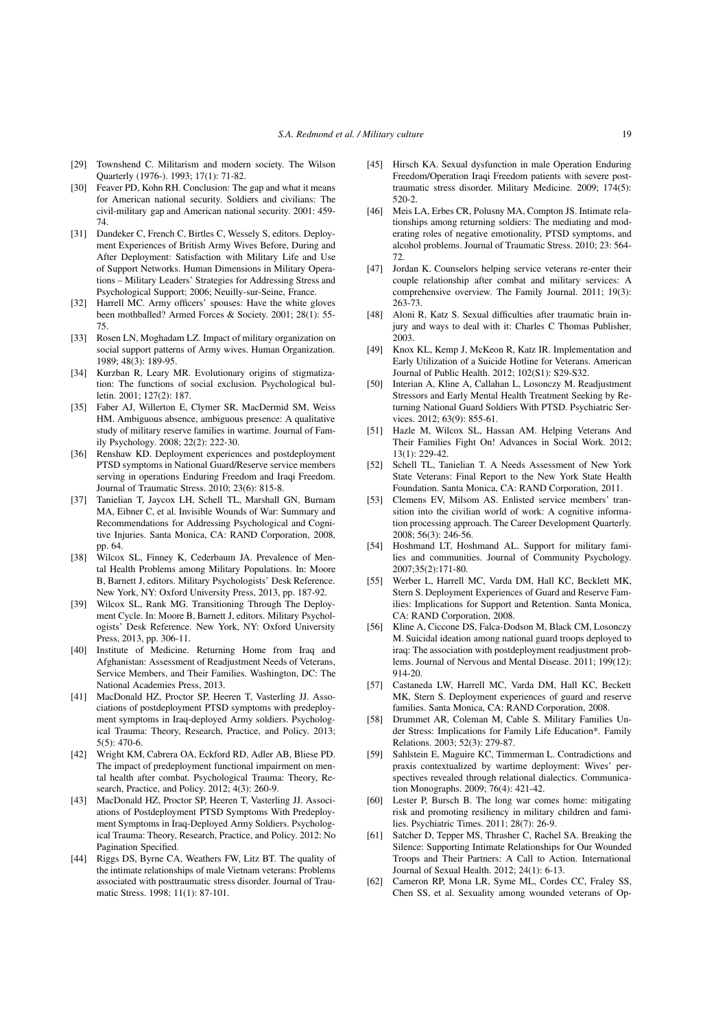- [29] Townshend C. Militarism and modern society. The Wilson Quarterly (1976-). 1993; 17(1): 71-82.
- [30] Feaver PD, Kohn RH. Conclusion: The gap and what it means for American national security. Soldiers and civilians: The civil-military gap and American national security. 2001: 459- 74.
- [31] Dandeker C, French C, Birtles C, Wessely S, editors. Deployment Experiences of British Army Wives Before, During and After Deployment: Satisfaction with Military Life and Use of Support Networks. Human Dimensions in Military Operations – Military Leaders' Strategies for Addressing Stress and Psychological Support; 2006; Neuilly-sur-Seine, France.
- [32] Harrell MC. Army officers' spouses: Have the white gloves been mothballed? Armed Forces & Society. 2001; 28(1): 55- 75.
- [33] Rosen LN, Moghadam LZ. Impact of military organization on social support patterns of Army wives. Human Organization. 1989; 48(3): 189-95.
- [34] Kurzban R, Leary MR. Evolutionary origins of stigmatization: The functions of social exclusion. Psychological bulletin. 2001; 127(2): 187.
- [35] Faber AJ, Willerton E, Clymer SR, MacDermid SM, Weiss HM. Ambiguous absence, ambiguous presence: A qualitative study of military reserve families in wartime. Journal of Family Psychology. 2008; 22(2): 222-30.
- [36] Renshaw KD. Deployment experiences and postdeployment PTSD symptoms in National Guard/Reserve service members serving in operations Enduring Freedom and Iraqi Freedom. Journal of Traumatic Stress. 2010; 23(6): 815-8.
- [37] Tanielian T, Jaycox LH, Schell TL, Marshall GN, Burnam MA, Eibner C, et al. Invisible Wounds of War: Summary and Recommendations for Addressing Psychological and Cognitive Injuries. Santa Monica, CA: RAND Corporation, 2008, pp. 64.
- [38] Wilcox SL, Finney K, Cederbaum JA. Prevalence of Mental Health Problems among Military Populations. In: Moore B, Barnett J, editors. Military Psychologists' Desk Reference. New York, NY: Oxford University Press, 2013, pp. 187-92.
- [39] Wilcox SL, Rank MG. Transitioning Through The Deployment Cycle. In: Moore B, Barnett J, editors. Military Psychologists' Desk Reference. New York, NY: Oxford University Press, 2013, pp. 306-11.
- [40] Institute of Medicine. Returning Home from Iraq and Afghanistan: Assessment of Readjustment Needs of Veterans, Service Members, and Their Families. Washington, DC: The National Academies Press, 2013.
- [41] MacDonald HZ, Proctor SP, Heeren T, Vasterling JJ. Associations of postdeployment PTSD symptoms with predeployment symptoms in Iraq-deployed Army soldiers. Psychological Trauma: Theory, Research, Practice, and Policy. 2013; 5(5): 470-6.
- [42] Wright KM, Cabrera OA, Eckford RD, Adler AB, Bliese PD. The impact of predeployment functional impairment on mental health after combat. Psychological Trauma: Theory, Research, Practice, and Policy. 2012; 4(3): 260-9.
- [43] MacDonald HZ, Proctor SP, Heeren T, Vasterling JJ. Associations of Postdeployment PTSD Symptoms With Predeployment Symptoms in Iraq-Deployed Army Soldiers. Psychological Trauma: Theory, Research, Practice, and Policy. 2012: No Pagination Specified.
- [44] Riggs DS, Byrne CA, Weathers FW, Litz BT. The quality of the intimate relationships of male Vietnam veterans: Problems associated with posttraumatic stress disorder. Journal of Traumatic Stress. 1998; 11(1): 87-101.
- [45] Hirsch KA. Sexual dysfunction in male Operation Enduring Freedom/Operation Iraqi Freedom patients with severe posttraumatic stress disorder. Military Medicine. 2009; 174(5): 520-2.
- [46] Meis LA, Erbes CR, Polusny MA, Compton JS. Intimate relationships among returning soldiers: The mediating and moderating roles of negative emotionality, PTSD symptoms, and alcohol problems. Journal of Traumatic Stress. 2010; 23: 564- 72.
- [47] Jordan K. Counselors helping service veterans re-enter their couple relationship after combat and military services: A comprehensive overview. The Family Journal. 2011; 19(3): 263-73.
- [48] Aloni R, Katz S. Sexual difficulties after traumatic brain injury and ways to deal with it: Charles C Thomas Publisher, 2003.
- [49] Knox KL, Kemp J, McKeon R, Katz IR. Implementation and Early Utilization of a Suicide Hotline for Veterans. American Journal of Public Health. 2012; 102(S1): S29-S32.
- [50] Interian A, Kline A, Callahan L, Losonczy M. Readjustment Stressors and Early Mental Health Treatment Seeking by Returning National Guard Soldiers With PTSD. Psychiatric Services. 2012; 63(9): 855-61.
- [51] Hazle M, Wilcox SL, Hassan AM. Helping Veterans And Their Families Fight On! Advances in Social Work. 2012;  $13(1) \cdot 229 - 42$ .
- [52] Schell TL, Tanielian T. A Needs Assessment of New York State Veterans: Final Report to the New York State Health Foundation. Santa Monica, CA: RAND Corporation, 2011.
- [53] Clemens EV, Milsom AS. Enlisted service members' transition into the civilian world of work: A cognitive information processing approach. The Career Development Quarterly. 2008; 56(3): 246-56.
- [54] Hoshmand LT, Hoshmand AL. Support for military families and communities. Journal of Community Psychology. 2007;35(2):171-80.
- [55] Werber L, Harrell MC, Varda DM, Hall KC, Becklett MK, Stern S. Deployment Experiences of Guard and Reserve Families: Implications for Support and Retention. Santa Monica, CA: RAND Corporation, 2008.
- [56] Kline A, Ciccone DS, Falca-Dodson M, Black CM, Losonczy M. Suicidal ideation among national guard troops deployed to iraq: The association with postdeployment readjustment problems. Journal of Nervous and Mental Disease. 2011; 199(12): 914-20.
- [57] Castaneda LW, Harrell MC, Varda DM, Hall KC, Beckett MK, Stern S. Deployment experiences of guard and reserve families. Santa Monica, CA: RAND Corporation, 2008.
- [58] Drummet AR, Coleman M, Cable S. Military Families Under Stress: Implications for Family Life Education\*. Family Relations. 2003; 52(3): 279-87.
- [59] Sahlstein E, Maguire KC, Timmerman L. Contradictions and praxis contextualized by wartime deployment: Wives' perspectives revealed through relational dialectics. Communication Monographs. 2009; 76(4): 421-42.
- [60] Lester P, Bursch B. The long war comes home: mitigating risk and promoting resiliency in military children and families. Psychiatric Times. 2011; 28(7): 26-9.
- [61] Satcher D, Tepper MS, Thrasher C, Rachel SA. Breaking the Silence: Supporting Intimate Relationships for Our Wounded Troops and Their Partners: A Call to Action. International Journal of Sexual Health. 2012; 24(1): 6-13.
- [62] Cameron RP, Mona LR, Syme ML, Cordes CC, Fraley SS, Chen SS, et al. Sexuality among wounded veterans of Op-